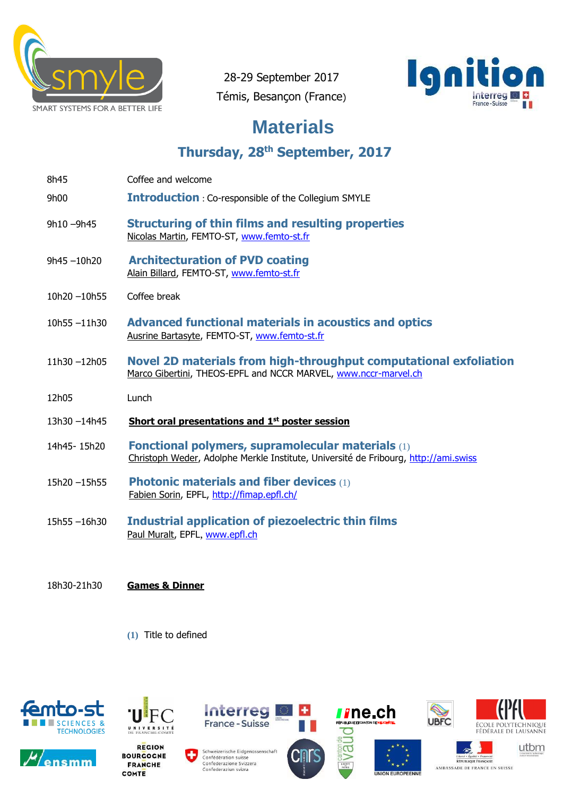

28-29 September 2017 Témis, Besançon (France)



## **Materials**

**Thursday, 28 th September, 2017**

- 8h45 Coffee and welcome
- 9h00 **Introduction** : Co-responsible of the Collegium SMYLE
- 9h10 –9h45 **Structuring of thin films and resulting properties** Nicolas Martin, FEMTO-ST, [www.femto-st.fr](http://www.femto-st.fr/)
- 9h45 –10h20 **Architecturation of PVD coating**  Alain Billard, FEMTO-ST, [www.femto-st.fr](http://www.femto-st.fr/)
- 10h20 –10h55 Coffee break
- 10h55 –11h30 **Advanced functional materials in acoustics and optics** Ausrine Bartasyte, FEMTO-ST[,](http://www.femto-st.fr/) [www.femto-st.fr](http://www.femto-st.fr/)
- 11h30 –12h05 **Novel 2D materials from high-throughput computational exfoliation** Marco Gibertini, THEOS-EPFL and NCCR MARVEL, [www.nccr-marvel.ch](http://www.nccr-marvel.ch/)
- 12h05 Lunch
- 13h30 –14h45 **Short oral presentations and 1 st poster session**
- 14h45- 15h20 **Fonctional polymers, supramolecular materials** (1) Christoph Weder, Adolphe Merkle Institute, Université de Fribourg, [http://ami.swiss](http://ami.swiss/)
- 15h20 –15h55 **Photonic materials and fiber devices** (1) Fabien Sorin, EPFL, http://fimap.epfl.ch/
- 15h55 –16h30 **Industrial application of piezoelectric thin films** Paul Muralt, [E](http://www.epfl.ch/)PFL, [www.epfl.ch](http://www.epfl.ch/)
- 18h30-21h30 **Games & Dinner** 
	- **(1)** Title to defined



nsmm



**BOURGOGNE FRANCHE** COMTE



**Interreg** 

France - Suisse







utbm

RÉPUBLIQUE FRANÇAISE AMBASSADE DE FRANCE EN SUISSE

D